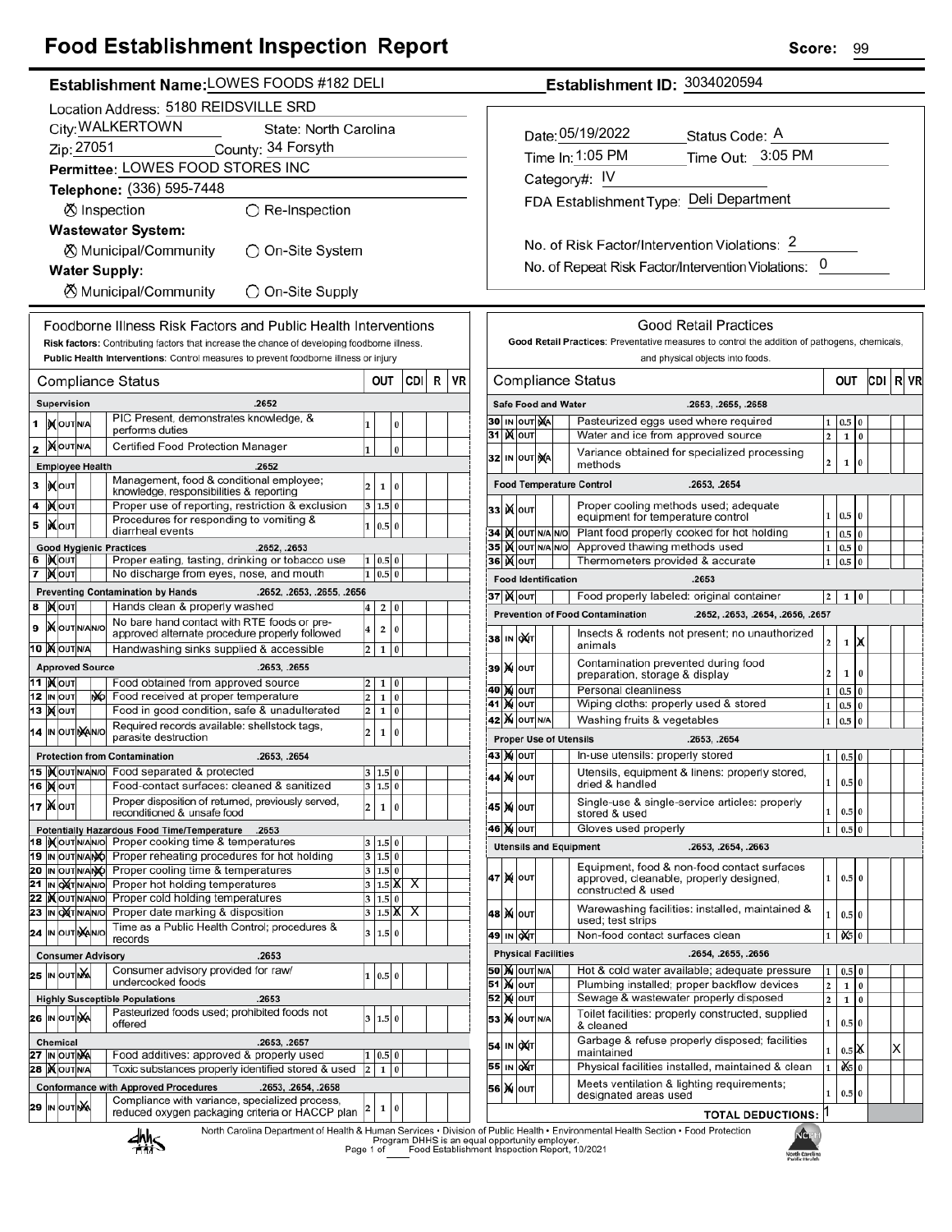# **Food Establishment Inspection Report**

| Establishment Name: LOWES FOODS #182 DELI                                                                                                                               | Establishment ID: 3034020594                                                                                                                                                                           |  |  |  |
|-------------------------------------------------------------------------------------------------------------------------------------------------------------------------|--------------------------------------------------------------------------------------------------------------------------------------------------------------------------------------------------------|--|--|--|
| Location Address: 5180 REIDSVILLE SRD                                                                                                                                   |                                                                                                                                                                                                        |  |  |  |
| City: WALKERTOWN<br>State: North Carolina                                                                                                                               |                                                                                                                                                                                                        |  |  |  |
|                                                                                                                                                                         | Date: 05/19/2022<br>Status Code: A                                                                                                                                                                     |  |  |  |
| Zip: 27051<br>County: 34 Forsyth                                                                                                                                        | Time Out: 3:05 PM<br>Time In: 1:05 PM                                                                                                                                                                  |  |  |  |
| Permittee: LOWES FOOD STORES INC                                                                                                                                        | Category#: IV                                                                                                                                                                                          |  |  |  |
| Telephone: (336) 595-7448                                                                                                                                               |                                                                                                                                                                                                        |  |  |  |
| ⊗ Inspection<br>$\bigcirc$ Re-Inspection                                                                                                                                | FDA Establishment Type: Deli Department                                                                                                                                                                |  |  |  |
| <b>Wastewater System:</b>                                                                                                                                               |                                                                                                                                                                                                        |  |  |  |
|                                                                                                                                                                         | No. of Risk Factor/Intervention Violations: 2                                                                                                                                                          |  |  |  |
| <b><math>\oslash</math> Municipal/Community</b><br>◯ On-Site System                                                                                                     |                                                                                                                                                                                                        |  |  |  |
| <b>Water Supply:</b>                                                                                                                                                    | No. of Repeat Risk Factor/Intervention Violations: 0                                                                                                                                                   |  |  |  |
| <b><math>\oslash</math> Municipal/Community</b><br>◯ On-Site Supply                                                                                                     |                                                                                                                                                                                                        |  |  |  |
|                                                                                                                                                                         |                                                                                                                                                                                                        |  |  |  |
| Foodborne Illness Risk Factors and Public Health Interventions                                                                                                          | <b>Good Retail Practices</b>                                                                                                                                                                           |  |  |  |
| Risk factors: Contributing factors that increase the chance of developing foodborne illness.                                                                            | Good Retail Practices: Preventative measures to control the addition of pathogens, chemicals,                                                                                                          |  |  |  |
| Public Health Interventions: Control measures to prevent foodborne illness or injury                                                                                    | and physical objects into foods.                                                                                                                                                                       |  |  |  |
| <b>VR</b><br>CDI R<br>OUT<br><b>Compliance Status</b>                                                                                                                   | <b>Compliance Status</b><br>CDI R VR<br>OUT                                                                                                                                                            |  |  |  |
| .2652<br>Supervision                                                                                                                                                    | <b>Safe Food and Water</b><br>.2653, .2655, .2658                                                                                                                                                      |  |  |  |
| PIC Present, demonstrates knowledge, &<br>1  MOUTINA<br>$\bf{0}$                                                                                                        | Pasteurized eggs used where required<br>30 IN OUT NA<br>1 0.5<br>$\overline{0}$                                                                                                                        |  |  |  |
| performs duties                                                                                                                                                         | <b>31 MOUT</b><br>Water and ice from approved source<br>$2^{\circ}$<br>l 0<br>$\mathbf 1$                                                                                                              |  |  |  |
| 2 MOUTINA<br>Certified Food Protection Manager<br>1<br>$\bf{0}$                                                                                                         | Variance obtained for specialized processing<br>32 IN OUT NA                                                                                                                                           |  |  |  |
| <b>Employee Health</b><br>.2652                                                                                                                                         | $\overline{2}$<br>$\mathbf 1$<br>$\Omega$<br>methods                                                                                                                                                   |  |  |  |
| Management, food & conditional employee;<br>з  ро<br>$\overline{2}$<br>$\,1$<br>$\bf{0}$<br>knowledge, responsibilities & reporting                                     | <b>Food Temperature Control</b><br>.2653, .2654                                                                                                                                                        |  |  |  |
| Proper use of reporting, restriction & exclusion<br>$\overline{4}$   $\chi$ out<br>3   1.5   0                                                                          | Proper cooling methods used; adequate<br>33 K OUT                                                                                                                                                      |  |  |  |
| Procedures for responding to vomiting &<br><b>XOUT</b><br>5<br>1   0.5   0                                                                                              | 1   0.5   0<br>equipment for temperature control                                                                                                                                                       |  |  |  |
| diarrheal events                                                                                                                                                        | 34 IN OUT N/A N/O<br>Plant food properly cooked for hot holding<br>$1 \ 0.5 \ 0$                                                                                                                       |  |  |  |
| <b>Good Hygienic Practices</b><br>.2652, .2653<br>6   KOUT<br>Proper eating, tasting, drinking or tobacco use<br>0.5 0<br>1                                             | 35 IX OUT N/A N/O<br>Approved thawing methods used<br>$1 \mid 0.5 \mid 0$<br><b>36 ) ОUT</b><br>Thermometers provided & accurate                                                                       |  |  |  |
| No discharge from eyes, nose, and mouth<br>$1 \ 0.5 \ 0$<br>7 MOUT                                                                                                      | $1 \mid 0.5 \mid 0$                                                                                                                                                                                    |  |  |  |
| <b>Preventing Contamination by Hands</b><br>.2652, .2653, .2655, .2656                                                                                                  | <b>Food Identification</b><br>.2653                                                                                                                                                                    |  |  |  |
| 8 MOUT<br>Hands clean & properly washed<br>2 0<br>$\vert 4 \vert$                                                                                                       | 37 X OUT<br>Food properly labeled: original container<br>$2 \mid 1 \mid 0$                                                                                                                             |  |  |  |
| No bare hand contact with RTE foods or pre-<br>9   O OUT N/A N/O<br>2 0 <br>$\overline{\bf 4}$                                                                          | <b>Prevention of Food Contamination</b><br>.2652, .2653, .2654, .2656, .2657                                                                                                                           |  |  |  |
| approved alternate procedure properly followed                                                                                                                          | Insects & rodents not present; no unauthorized<br>38 IN OUT<br>2<br>1<br>IЖ                                                                                                                            |  |  |  |
| <b>10 MOUTNA</b><br>Handwashing sinks supplied & accessible<br>$\overline{2}$<br>$1 \mid 0$                                                                             | animals                                                                                                                                                                                                |  |  |  |
| <b>Approved Source</b><br>.2653, .2655                                                                                                                                  | Contamination prevented during food<br>39 X олт<br>$\overline{2}$<br>$\mathbf 1$<br>$\mathbf{0}$<br>preparation, storage & display                                                                     |  |  |  |
| <b>11  </b> Моит<br>Food obtained from approved source<br>$\overline{2}$<br>1 0<br>Food received at proper temperature                                                  | Personal cleanliness<br><b>40 M OUT</b><br>$1 \t0.5 \t0$                                                                                                                                               |  |  |  |
| 12 IN OUT<br><b>NO</b><br>$\overline{2}$<br>1 0 <br>13 <b>Mour</b><br>Food in good condition, safe & unadulterated<br>$\overline{2}$<br>1 0                             | <b>41 M OUT</b><br>Wiping cloths: properly used & stored<br>$1 \vert 0.5 \vert 0$                                                                                                                      |  |  |  |
| Required records available: shellstock tags,                                                                                                                            | <b>42 X</b> OUT N/A<br>Washing fruits & vegetables<br>1 0.5<br>l 0                                                                                                                                     |  |  |  |
| $\overline{2}$<br>1 0<br>14 IN OUT NAINO<br>parasite destruction                                                                                                        | <b>Proper Use of Utensils</b><br>.2653, .2654                                                                                                                                                          |  |  |  |
| <b>Protection from Contamination</b><br>.2653, .2654                                                                                                                    | 43 X OUT<br>In-use utensils: properly stored<br>$1 \mid 0.5 \mid 0$                                                                                                                                    |  |  |  |
| 15   Nout NANO Food separated & protected<br>3   1.5   0                                                                                                                | Utensils, equipment & linens: properly stored,<br>44 X OUT                                                                                                                                             |  |  |  |
| 16 Молт<br>Food-contact surfaces: cleaned & sanitized<br>$3 \ 1.5 \ 0$                                                                                                  | $\mathbf{1}$<br>0.50<br>dried & handled                                                                                                                                                                |  |  |  |
| Proper disposition of returned, previously served,<br>17   NOUT<br>1 0<br>$\overline{2}$<br>reconditioned & unsafe food                                                 | Single-use & single-service articles: properly<br>45 X OUT<br>1<br>0.5 0<br>stored & used                                                                                                              |  |  |  |
| Potentially Hazardous Food Time/Temperature .2653                                                                                                                       | <b>46 MOUT</b><br>Gloves used properly<br>1<br>$0.5\vert 0$                                                                                                                                            |  |  |  |
| 18   Nout NANO Proper cooking time & temperatures<br>3   1.5   0                                                                                                        | <b>Utensils and Equipment</b><br>.2653, .2654, .2663                                                                                                                                                   |  |  |  |
| Proper reheating procedures for hot holding<br>19 IN OUT N/ANO<br>3 1.5 0                                                                                               |                                                                                                                                                                                                        |  |  |  |
| 20 IN OUT N/ANO<br>Proper cooling time & temperatures<br>3   1.5   0                                                                                                    | Equipment, food & non-food contact surfaces<br>47 X 0uт<br>1   0.5   0<br>approved, cleanable, properly designed,                                                                                      |  |  |  |
| 21 IN OUT NANO Proper hot holding temperatures<br>22   Nout NANO Proper cold holding temperatures<br>$31.5$ X X<br>Proper cold holding temperatures<br>3   1.5   0      | constructed & used                                                                                                                                                                                     |  |  |  |
| 23 IN OXT N/AN/O<br>Proper date marking & disposition<br>$3 \mid 1.5 \mid \mathbb{X}$<br>X                                                                              | Warewashing facilities: installed, maintained &<br><b>48   Х</b>   оит <br>1<br>0.5 0                                                                                                                  |  |  |  |
| Time as a Public Health Control; procedures &<br>24 IN OUT MANO<br>3   1.5   0                                                                                          | used; test strips                                                                                                                                                                                      |  |  |  |
| records                                                                                                                                                                 | Non-food contact surfaces clean<br>49 IN OXT<br>$\frac{1}{2}$ 0<br>$\mathbf{1}$                                                                                                                        |  |  |  |
| <b>Consumer Advisory</b><br>.2653                                                                                                                                       | <b>Physical Facilities</b><br>.2654, .2655, .2656                                                                                                                                                      |  |  |  |
| Consumer advisory provided for raw/<br><b>25 IN OUT NA</b><br>1   0.5   0<br>undercooked foods                                                                          | <b>50 X</b> OUT N/A<br>Hot & cold water available; adequate pressure<br>$0.5$ 0<br>1<br><b>51 Mour</b><br>Plumbing installed; proper backflow devices<br>$\overline{0}$<br>$\mathbf{2}$<br>$\mathbf 1$ |  |  |  |
| <b>Highly Susceptible Populations</b><br>.2653                                                                                                                          | Sewage & wastewater properly disposed<br><b>52 ) о</b> л<br>$\overline{a}$<br>$\vert$ 0<br>$\mathbf 1$                                                                                                 |  |  |  |
| Pasteurized foods used; prohibited foods not<br>26 IN OUT NA<br>3 1.5 0                                                                                                 | Toilet facilities: properly constructed, supplied<br><b>53 X</b> OUT N/A                                                                                                                               |  |  |  |
| offered                                                                                                                                                                 | $\mathbf{1}$<br>0.5 0<br>& cleaned                                                                                                                                                                     |  |  |  |
| Chemical<br>.2653, .2657                                                                                                                                                | Garbage & refuse properly disposed; facilities<br>54 IN OXT<br>X<br>$0.5\,$ $\chi$<br>1<br>maintained                                                                                                  |  |  |  |
| 27 IN OUT NA<br>Food additives: approved & properly used<br>$0.5$ 0<br>1<br>28   OUT N/A<br>Toxic substances properly identified stored & used<br>$\overline{2}$<br>1 0 | 55 IN OXT<br>$x = 0$<br>Physical facilities installed, maintained & clean<br>$\mathbf{1}$                                                                                                              |  |  |  |
|                                                                                                                                                                         | Meets ventilation & lighting requirements;                                                                                                                                                             |  |  |  |
| <b>Conformance with Approved Procedures</b><br>.2653, .2654, .2658<br>Compliance with variance, specialized process,                                                    | 56 X OUT<br>$0.5\,0$<br>1<br>designated areas used                                                                                                                                                     |  |  |  |
| 29 IN OUT NA<br>$1\vert$<br>$\bf{0}$<br>2<br>reduced oxygen packaging criteria or HACCP plan                                                                            | <b>TOTAL DEDUCTIONS: 1</b>                                                                                                                                                                             |  |  |  |

North Carolina Department of Health & Human Services • Division of Public Health • Environmental Health Section • Food Protection<br>Program DHHS is an equal opportunity employer.<br>Food Establishment Inspection Report, 10/2021



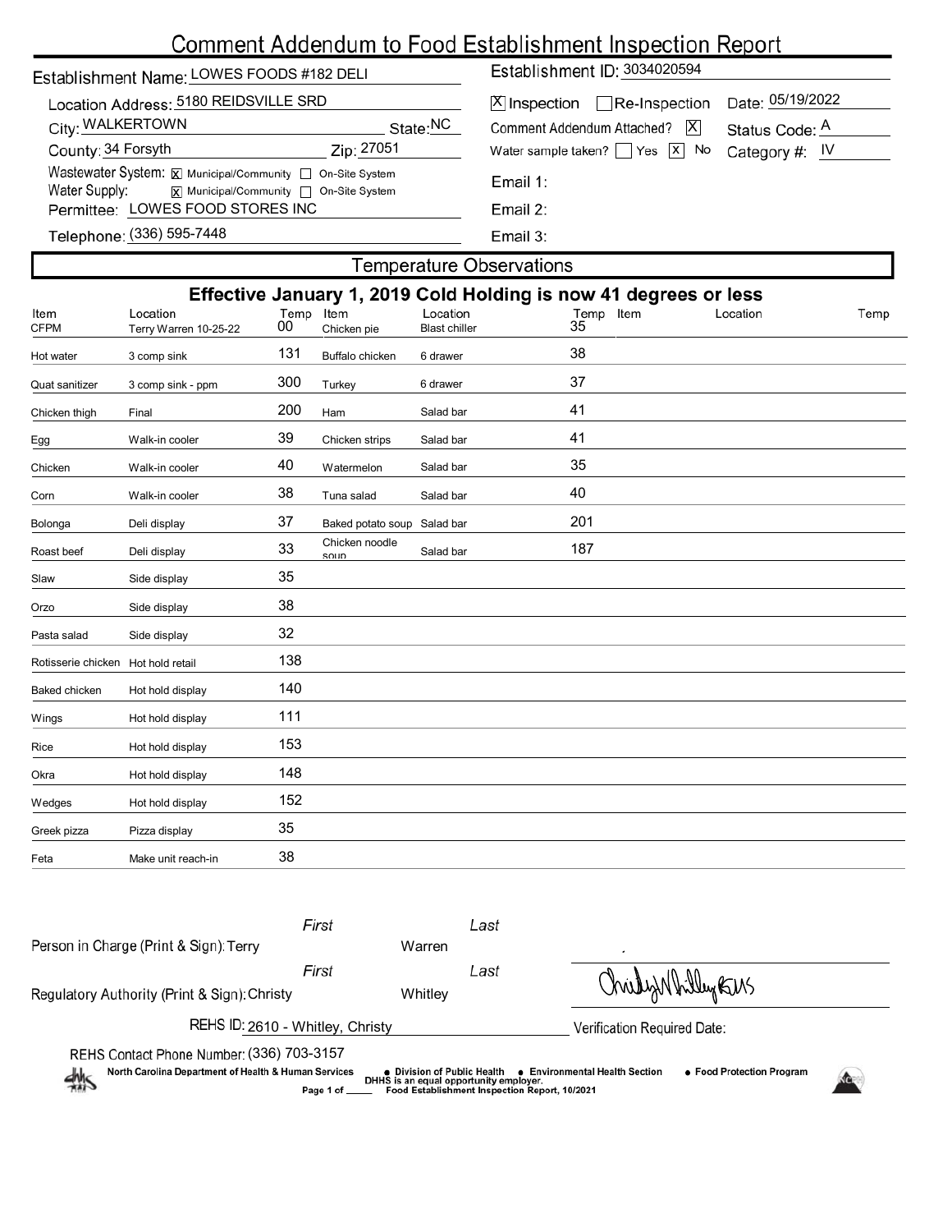| Establishment Name: LOWES FOODS #182 DELI                                                                                           | Establishment ID: 3034020594                                             |                                          |
|-------------------------------------------------------------------------------------------------------------------------------------|--------------------------------------------------------------------------|------------------------------------------|
| Location Address: 5180 REIDSVILLE SRD                                                                                               | $\boxed{\text{X}}$ Inspection $\boxed{\phantom{\text{X}}}$ Re-Inspection |                                          |
| City: WALKERTOWN                                                                                                                    | State: <sup>NC</sup>                                                     | X <br>Comment Addendum Attached?         |
| County: 34 Forsyth                                                                                                                  | Zip: 27051                                                               | Water sample taken? $\Box$ Yes $\Box$ No |
| Wastewater System: X Municipal/Community   On-Site System<br>Water Supply: $\overline{x}$ Municipal/Community $\Box$ On-Site System |                                                                          | Email 1:                                 |
| Permittee: LOWES FOOD STORES INC                                                                                                    |                                                                          | Email $2:$                               |
| $T_{\alpha}$ lanhana: (336) 505-7448                                                                                                |                                                                          | <b>Execute:</b>                          |

| X Inspection   Re-Inspection Date: 05/19/2022                |  |  |  |
|--------------------------------------------------------------|--|--|--|
| Comment Addendum Attached?   X Status Code: A                |  |  |  |
| Water sample taken? $\Box$ Yes $\boxed{x}$ No Category #: IV |  |  |  |

Email 3:

## Telephone: (336) 595-7448

| <b>Temperature Observations</b> |
|---------------------------------|
|---------------------------------|

| Effective January 1, 2019 Cold Holding is now 41 degrees or less |                                   |                 |                                     |                                  |                 |          |      |
|------------------------------------------------------------------|-----------------------------------|-----------------|-------------------------------------|----------------------------------|-----------------|----------|------|
| Item<br><b>CFPM</b>                                              | Location<br>Terry Warren 10-25-22 | Temp Item<br>00 | Chicken pie                         | Location<br><b>Blast chiller</b> | Temp Item<br>35 | Location | Temp |
| Hot water                                                        | 3 comp sink                       | 131             | Buffalo chicken                     | 6 drawer                         | 38              |          |      |
| Quat sanitizer                                                   | 3 comp sink - ppm                 | 300             | Turkey                              | 6 drawer                         | 37              |          |      |
| Chicken thigh                                                    | Final                             | 200             | Ham                                 | Salad bar                        | 41              |          |      |
| Egg                                                              | Walk-in cooler                    | 39              | Chicken strips                      | Salad bar                        | 41              |          |      |
| Chicken                                                          | Walk-in cooler                    | 40              | Watermelon                          | Salad bar                        | 35              |          |      |
| Corn                                                             | Walk-in cooler                    | 38              | Tuna salad                          | Salad bar                        | 40              |          |      |
| Bolonga                                                          | Deli display                      | 37              | Baked potato soup                   | Salad bar                        | 201             |          |      |
| Roast beef                                                       | Deli display                      | 33              | Chicken noodle<br>S <sub>011D</sub> | Salad bar                        | 187             |          |      |
| Slaw                                                             | Side display                      | 35              |                                     |                                  |                 |          |      |
| Orzo                                                             | Side display                      | 38              |                                     |                                  |                 |          |      |
| Pasta salad                                                      | Side display                      | 32              |                                     |                                  |                 |          |      |
| Rotisserie chicken                                               | Hot hold retail                   | 138             |                                     |                                  |                 |          |      |
| Baked chicken                                                    | Hot hold display                  | 140             |                                     |                                  |                 |          |      |
| Wings                                                            | Hot hold display                  | 111             |                                     |                                  |                 |          |      |
| Rice                                                             | Hot hold display                  | 153             |                                     |                                  |                 |          |      |
| Okra                                                             | Hot hold display                  | 148             |                                     |                                  |                 |          |      |
| Wedges                                                           | Hot hold display                  | 152             |                                     |                                  |                 |          |      |
| Greek pizza                                                      | Pizza display                     | 35              |                                     |                                  |                 |          |      |
| Feta                                                             | Make unit reach-in                | 38              |                                     |                                  |                 |          |      |

|                                                                                                                                                                                                        | First        |         | Last                                          |                    |  |
|--------------------------------------------------------------------------------------------------------------------------------------------------------------------------------------------------------|--------------|---------|-----------------------------------------------|--------------------|--|
| Person in Charge (Print & Sign): Terry                                                                                                                                                                 |              | Warren  |                                               |                    |  |
|                                                                                                                                                                                                        | First        |         | Last                                          | Christynhilley EUS |  |
| Regulatory Authority (Print & Sign): Christy                                                                                                                                                           |              | Whitley |                                               |                    |  |
| REHS ID: 2610 - Whitley, Christy                                                                                                                                                                       |              |         | Verification Required Date:                   |                    |  |
| REHS Contact Phone Number: (336) 703-3157                                                                                                                                                              |              |         |                                               |                    |  |
| North Carolina Department of Health & Human Services<br>• Food Protection Program<br><b>Environmental Health Section</b><br>● Division of Public Health<br>煞<br>DHHS is an equal opportunity employer. |              |         |                                               |                    |  |
|                                                                                                                                                                                                        | Page 1 of __ |         | Food Establishment Inspection Report, 10/2021 |                    |  |